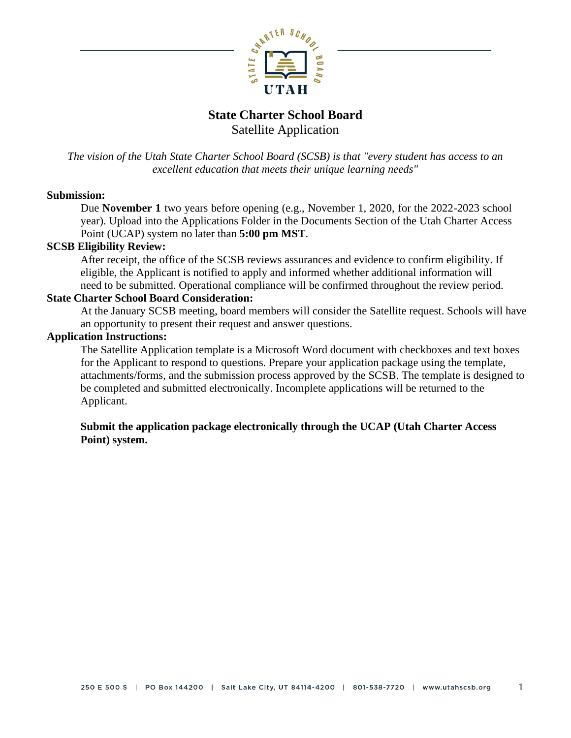

# **State Charter School Board** Satellite Application

*The vision of the Utah State Charter School Board (SCSB) is that "every student has access to an excellent education that meets their unique learning needs"*

## **Submission:**

Due **November 1** two years before opening (e.g., November 1, 2020, for the 2022-2023 school year). Upload into the Applications Folder in the Documents Section of the Utah Charter Access Point (UCAP) system no later than **5:00 pm MST**.

## **SCSB Eligibility Review:**

After receipt, the office of the SCSB reviews assurances and evidence to confirm eligibility. If eligible, the Applicant is notified to apply and informed whether additional information will need to be submitted. Operational compliance will be confirmed throughout the review period.

#### **State Charter School Board Consideration:**

At the January SCSB meeting, board members will consider the Satellite request. Schools will have an opportunity to present their request and answer questions.

#### **Application Instructions:**

The Satellite Application template is a Microsoft Word document with checkboxes and text boxes for the Applicant to respond to questions. Prepare your application package using the template, attachments/forms, and the submission process approved by the SCSB. The template is designed to be completed and submitted electronically. Incomplete applications will be returned to the Applicant.

## **Submit the application package electronically through the UCAP (Utah Charter Access Point) system.**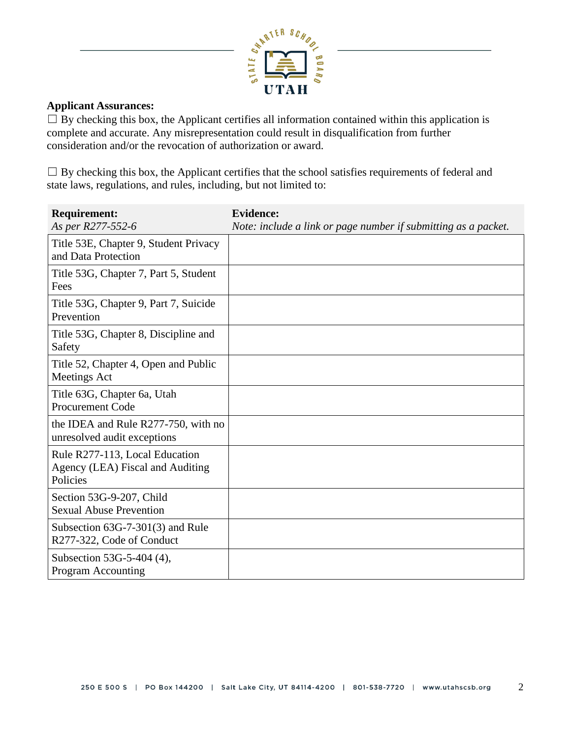

#### **Applicant Assurances:**

 $\Box$  By checking this box, the Applicant certifies all information contained within this application is complete and accurate. Any misrepresentation could result in disqualification from further consideration and/or the revocation of authorization or award.

 $\Box$  By checking this box, the Applicant certifies that the school satisfies requirements of federal and state laws, regulations, and rules, including, but not limited to:

| <b>Requirement:</b><br>As per R277-552-6                                       | <b>Evidence:</b><br>Note: include a link or page number if submitting as a packet. |
|--------------------------------------------------------------------------------|------------------------------------------------------------------------------------|
| Title 53E, Chapter 9, Student Privacy<br>and Data Protection                   |                                                                                    |
| Title 53G, Chapter 7, Part 5, Student<br>Fees                                  |                                                                                    |
| Title 53G, Chapter 9, Part 7, Suicide<br>Prevention                            |                                                                                    |
| Title 53G, Chapter 8, Discipline and<br>Safety                                 |                                                                                    |
| Title 52, Chapter 4, Open and Public<br>Meetings Act                           |                                                                                    |
| Title 63G, Chapter 6a, Utah<br><b>Procurement Code</b>                         |                                                                                    |
| the IDEA and Rule R277-750, with no<br>unresolved audit exceptions             |                                                                                    |
| Rule R277-113, Local Education<br>Agency (LEA) Fiscal and Auditing<br>Policies |                                                                                    |
| Section 53G-9-207, Child<br><b>Sexual Abuse Prevention</b>                     |                                                                                    |
| Subsection $63G-7-301(3)$ and Rule<br>R277-322, Code of Conduct                |                                                                                    |
| Subsection 53G-5-404 (4),<br><b>Program Accounting</b>                         |                                                                                    |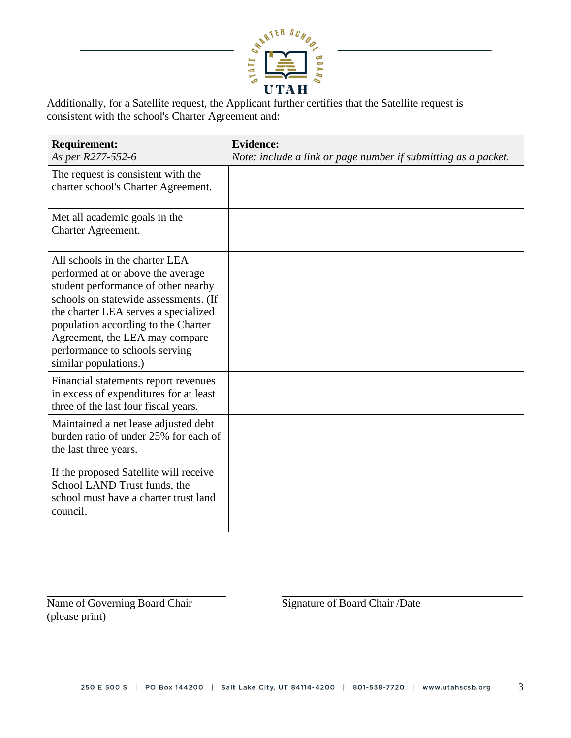

Additionally, for a Satellite request, the Applicant further certifies that the Satellite request is consistent with the school's Charter Agreement and:

| <b>Requirement:</b><br>As per R277-552-6                                                                                                                                                                                                                                                                                        | <b>Evidence:</b><br>Note: include a link or page number if submitting as a packet. |
|---------------------------------------------------------------------------------------------------------------------------------------------------------------------------------------------------------------------------------------------------------------------------------------------------------------------------------|------------------------------------------------------------------------------------|
| The request is consistent with the<br>charter school's Charter Agreement.                                                                                                                                                                                                                                                       |                                                                                    |
| Met all academic goals in the<br>Charter Agreement.                                                                                                                                                                                                                                                                             |                                                                                    |
| All schools in the charter LEA<br>performed at or above the average<br>student performance of other nearby<br>schools on statewide assessments. (If<br>the charter LEA serves a specialized<br>population according to the Charter<br>Agreement, the LEA may compare<br>performance to schools serving<br>similar populations.) |                                                                                    |
| Financial statements report revenues<br>in excess of expenditures for at least<br>three of the last four fiscal years.                                                                                                                                                                                                          |                                                                                    |
| Maintained a net lease adjusted debt<br>burden ratio of under 25% for each of<br>the last three years.                                                                                                                                                                                                                          |                                                                                    |
| If the proposed Satellite will receive<br>School LAND Trust funds, the<br>school must have a charter trust land<br>council.                                                                                                                                                                                                     |                                                                                    |

Name of Governing Board Chair Signature of Board Chair /Date (please print)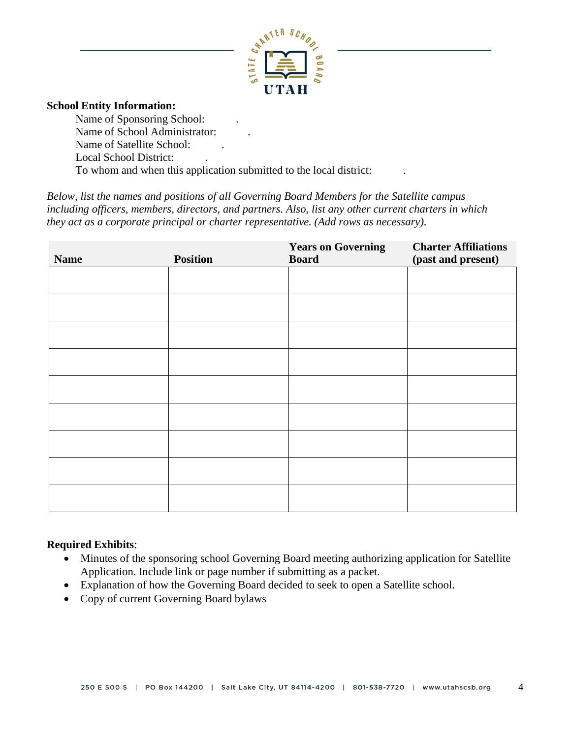

#### **School Entity Information:**

Name of Sponsoring School: . Name of School Administrator: . Name of Satellite School: . Local School District: . To whom and when this application submitted to the local district: .

*Below, list the names and positions of all Governing Board Members for the Satellite campus including officers, members, directors, and partners. Also, list any other current charters in which they act as a corporate principal or charter representative. (Add rows as necessary).*

| <b>Name</b> | <b>Position</b> | <b>Years on Governing</b><br><b>Board</b> | <b>Charter Affiliations</b><br>(past and present) |
|-------------|-----------------|-------------------------------------------|---------------------------------------------------|
|             |                 |                                           |                                                   |
|             |                 |                                           |                                                   |
|             |                 |                                           |                                                   |
|             |                 |                                           |                                                   |
|             |                 |                                           |                                                   |
|             |                 |                                           |                                                   |
|             |                 |                                           |                                                   |
|             |                 |                                           |                                                   |
|             |                 |                                           |                                                   |

## **Required Exhibits**:

- Minutes of the sponsoring school Governing Board meeting authorizing application for Satellite Application. Include link or page number if submitting as a packet.
- Explanation of how the Governing Board decided to seek to open a Satellite school.
- Copy of current Governing Board bylaws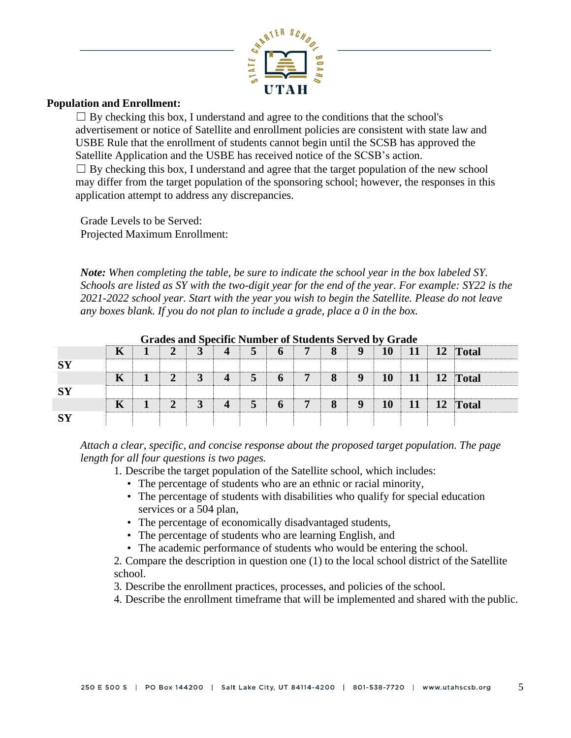

#### **Population and Enrollment:**

 $\Box$  By checking this box, I understand and agree to the conditions that the school's advertisement or notice of Satellite and enrollment policies are consistent with state law and USBE Rule that the enrollment of students cannot begin until the SCSB has approved the Satellite Application and the USBE has received notice of the SCSB's action.  $\Box$  By checking this box, I understand and agree that the target population of the new school may differ from the target population of the sponsoring school; however, the responses in this application attempt to address any discrepancies.

Grade Levels to be Served: Projected Maximum Enrollment:

*Note: When completing the table, be sure to indicate the school year in the box labeled SY. Schools are listed as SY with the two-digit year for the end of the year. For example: SY22 is the 2021-2022 school year. Start with the year you wish to begin the Satellite. Please do not leave any boxes blank. If you do not plan to include a grade, place a 0 in the box.*

| Grades and Specific Number of Students Served by Grade |   |  |  |   |                |   |              |   |   |   |    |    |    |              |
|--------------------------------------------------------|---|--|--|---|----------------|---|--------------|---|---|---|----|----|----|--------------|
|                                                        | K |  |  |   | $\overline{4}$ | 5 | $\mathbf{p}$ | 7 |   | 9 | 10 | 11 | 12 | <b>Total</b> |
| $\mathbf{S}\mathbf{Y}$                                 |   |  |  |   |                |   |              |   |   |   |    |    |    |              |
|                                                        | K |  |  |   | $\overline{4}$ | 5 | 6            | 7 | 8 | 9 | 10 | 11 |    | 12 Total     |
| S <sub>Y</sub>                                         |   |  |  |   |                |   |              |   |   |   |    |    |    |              |
|                                                        | K |  |  | 3 | $\overline{4}$ | 5 | 6            | 7 |   | 9 | 10 | 11 | 12 | <b>Total</b> |
| $\mathbf{S}\mathbf{Y}$                                 |   |  |  |   |                |   |              |   |   |   |    |    |    |              |

**Grades and Specific Number of Students Served by Grade**

*Attach a clear, specific, and concise response about the proposed target population. The page length for all four questions is two pages.*

- 1. Describe the target population of the Satellite school, which includes:
	- The percentage of students who are an ethnic or racial minority,
	- The percentage of students with disabilities who qualify for special education services or a 504 plan,
	- The percentage of economically disadvantaged students,
	- The percentage of students who are learning English, and
	- The academic performance of students who would be entering the school.
- 2. Compare the description in question one (1) to the local school district of the Satellite school.
- 3. Describe the enrollment practices, processes, and policies of the school.
- 4. Describe the enrollment timeframe that will be implemented and shared with the public.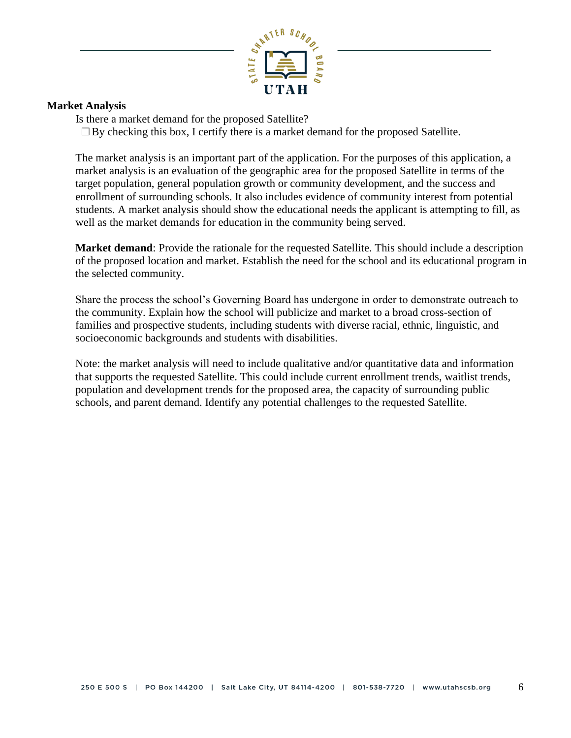

#### **Market Analysis**

Is there a market demand for the proposed Satellite?

 $\Box$ By checking this box, I certify there is a market demand for the proposed Satellite.

The market analysis is an important part of the application. For the purposes of this application, a market analysis is an evaluation of the geographic area for the proposed Satellite in terms of the target population, general population growth or community development, and the success and enrollment of surrounding schools. It also includes evidence of community interest from potential students. A market analysis should show the educational needs the applicant is attempting to fill, as well as the market demands for education in the community being served.

**Market demand**: Provide the rationale for the requested Satellite. This should include a description of the proposed location and market. Establish the need for the school and its educational program in the selected community.

Share the process the school's Governing Board has undergone in order to demonstrate outreach to the community. Explain how the school will publicize and market to a broad cross-section of families and prospective students, including students with diverse racial, ethnic, linguistic, and socioeconomic backgrounds and students with disabilities.

Note: the market analysis will need to include qualitative and/or quantitative data and information that supports the requested Satellite. This could include current enrollment trends, waitlist trends, population and development trends for the proposed area, the capacity of surrounding public schools, and parent demand. Identify any potential challenges to the requested Satellite.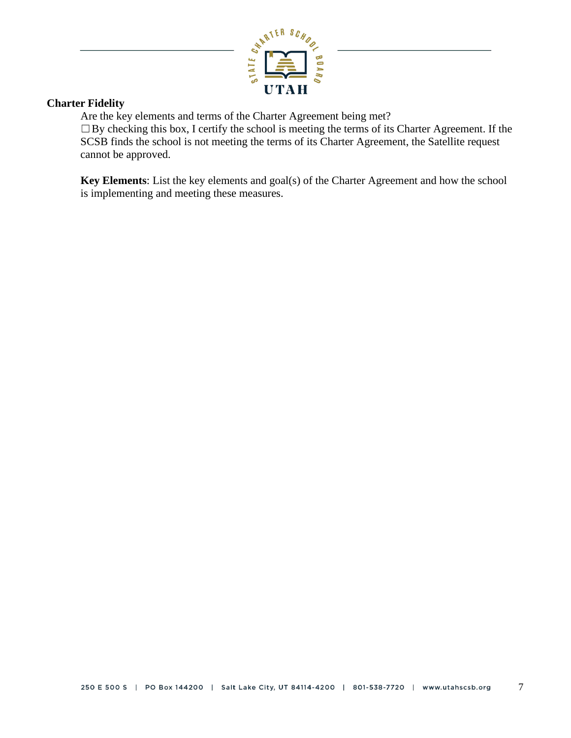

## **Charter Fidelity**

Are the key elements and terms of the Charter Agreement being met?

 $\Box$ By checking this box, I certify the school is meeting the terms of its Charter Agreement. If the SCSB finds the school is not meeting the terms of its Charter Agreement, the Satellite request cannot be approved.

**Key Elements**: List the key elements and goal(s) of the Charter Agreement and how the school is implementing and meeting these measures.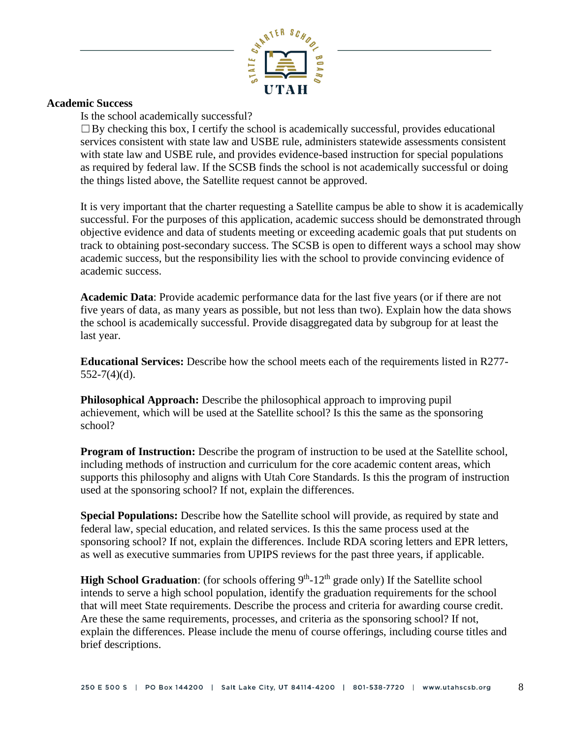

#### **Academic Success**

Is the school academically successful?

 $\Box$ By checking this box, I certify the school is academically successful, provides educational services consistent with state law and USBE rule, administers statewide assessments consistent with state law and USBE rule, and provides evidence-based instruction for special populations as required by federal law. If the SCSB finds the school is not academically successful or doing the things listed above, the Satellite request cannot be approved.

It is very important that the charter requesting a Satellite campus be able to show it is academically successful. For the purposes of this application, academic success should be demonstrated through objective evidence and data of students meeting or exceeding academic goals that put students on track to obtaining post-secondary success. The SCSB is open to different ways a school may show academic success, but the responsibility lies with the school to provide convincing evidence of academic success.

**Academic Data**: Provide academic performance data for the last five years (or if there are not five years of data, as many years as possible, but not less than two). Explain how the data shows the school is academically successful. Provide disaggregated data by subgroup for at least the last year.

**Educational Services:** Describe how the school meets each of the requirements listed in R277-  $552-7(4)(d)$ .

**Philosophical Approach:** Describe the philosophical approach to improving pupil achievement, which will be used at the Satellite school? Is this the same as the sponsoring school?

**Program of Instruction:** Describe the program of instruction to be used at the Satellite school, including methods of instruction and curriculum for the core academic content areas, which supports this philosophy and aligns with Utah Core Standards. Is this the program of instruction used at the sponsoring school? If not, explain the differences.

**Special Populations:** Describe how the Satellite school will provide, as required by state and federal law, special education, and related services. Is this the same process used at the sponsoring school? If not, explain the differences. Include RDA scoring letters and EPR letters, as well as executive summaries from UPIPS reviews for the past three years, if applicable.

**High School Graduation:** (for schools offering  $9<sup>th</sup>$ -12<sup>th</sup> grade only) If the Satellite school intends to serve a high school population, identify the graduation requirements for the school that will meet State requirements. Describe the process and criteria for awarding course credit. Are these the same requirements, processes, and criteria as the sponsoring school? If not, explain the differences. Please include the menu of course offerings, including course titles and brief descriptions.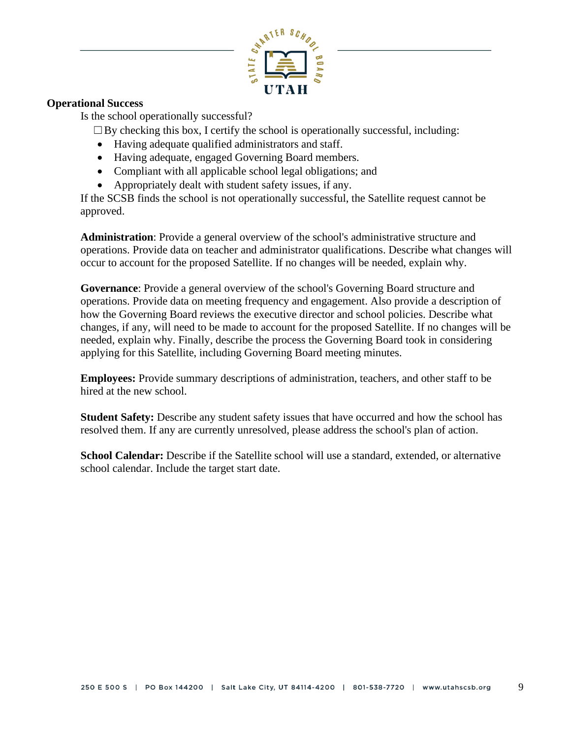

## **Operational Success**

Is the school operationally successful?

 $\Box$ By checking this box, I certify the school is operationally successful, including:

- Having adequate qualified administrators and staff.
- Having adequate, engaged Governing Board members.
- Compliant with all applicable school legal obligations; and
- Appropriately dealt with student safety issues, if any.

If the SCSB finds the school is not operationally successful, the Satellite request cannot be approved.

**Administration**: Provide a general overview of the school's administrative structure and operations. Provide data on teacher and administrator qualifications. Describe what changes will occur to account for the proposed Satellite. If no changes will be needed, explain why.

**Governance**: Provide a general overview of the school's Governing Board structure and operations. Provide data on meeting frequency and engagement. Also provide a description of how the Governing Board reviews the executive director and school policies. Describe what changes, if any, will need to be made to account for the proposed Satellite. If no changes will be needed, explain why. Finally, describe the process the Governing Board took in considering applying for this Satellite, including Governing Board meeting minutes.

**Employees:** Provide summary descriptions of administration, teachers, and other staff to be hired at the new school.

**Student Safety:** Describe any student safety issues that have occurred and how the school has resolved them. If any are currently unresolved, please address the school's plan of action.

**School Calendar:** Describe if the Satellite school will use a standard, extended, or alternative school calendar. Include the target start date.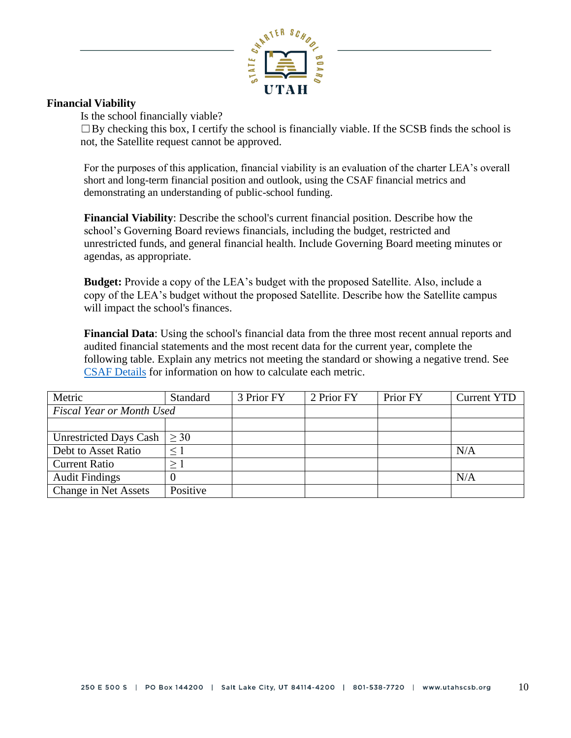

## **Financial Viability**

Is the school financially viable?

 $\Box$ By checking this box, I certify the school is financially viable. If the SCSB finds the school is not, the Satellite request cannot be approved.

For the purposes of this application, financial viability is an evaluation of the charter LEA's overall short and long-term financial position and outlook, using the CSAF financial metrics and demonstrating an understanding of public-school funding.

**Financial Viability**: Describe the school's current financial position. Describe how the school's Governing Board reviews financials, including the budget, restricted and unrestricted funds, and general financial health. Include Governing Board meeting minutes or agendas, as appropriate.

**Budget:** Provide a copy of the LEA's budget with the proposed Satellite. Also, include a copy of the LEA's budget without the proposed Satellite. Describe how the Satellite campus will impact the school's finances.

**Financial Data**: Using the school's financial data from the three most recent annual reports and audited financial statements and the most recent data for the current year, complete the following table. Explain any metrics not meeting the standard or showing a negative trend. See CSAF [Details](https://9303a856-c942-4da0-b03f-64d15183abe2.filesusr.com/ugd/372854_b39a835961dd47628cbd2ea75d67e2ff.pdf) for information on how to calculate each metric.

| Metric                           | <b>Standard</b> | 3 Prior FY | 2 Prior FY | Prior FY | <b>Current YTD</b> |
|----------------------------------|-----------------|------------|------------|----------|--------------------|
| <b>Fiscal Year or Month Used</b> |                 |            |            |          |                    |
|                                  |                 |            |            |          |                    |
| <b>Unrestricted Days Cash</b>    | >30             |            |            |          |                    |
| Debt to Asset Ratio              | $\leq$ 1        |            |            |          | N/A                |
| <b>Current Ratio</b>             | $\geq 1$        |            |            |          |                    |
| <b>Audit Findings</b>            |                 |            |            |          | N/A                |
| Change in Net Assets             | Positive        |            |            |          |                    |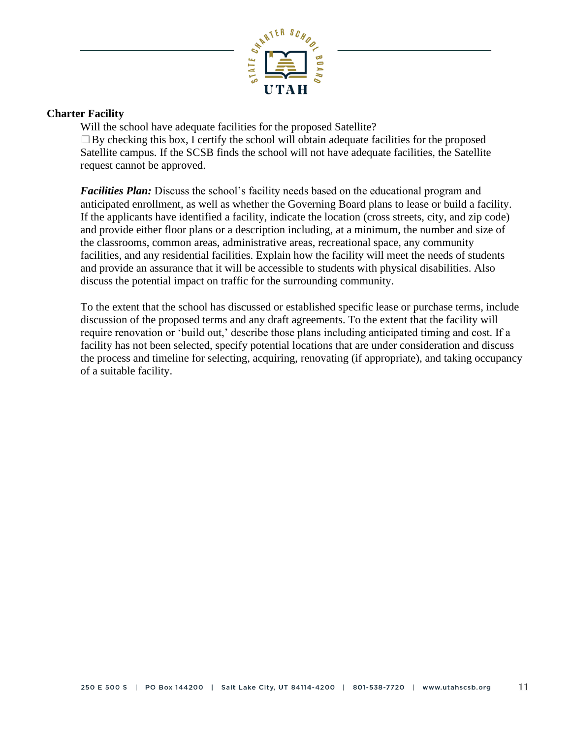

#### **Charter Facility**

Will the school have adequate facilities for the proposed Satellite?  $\Box$ By checking this box, I certify the school will obtain adequate facilities for the proposed Satellite campus. If the SCSB finds the school will not have adequate facilities, the Satellite request cannot be approved.

*Facilities Plan:* Discuss the school's facility needs based on the educational program and anticipated enrollment, as well as whether the Governing Board plans to lease or build a facility. If the applicants have identified a facility, indicate the location (cross streets, city, and zip code) and provide either floor plans or a description including, at a minimum, the number and size of the classrooms, common areas, administrative areas, recreational space, any community facilities, and any residential facilities. Explain how the facility will meet the needs of students and provide an assurance that it will be accessible to students with physical disabilities. Also discuss the potential impact on traffic for the surrounding community.

To the extent that the school has discussed or established specific lease or purchase terms, include discussion of the proposed terms and any draft agreements. To the extent that the facility will require renovation or 'build out,' describe those plans including anticipated timing and cost. If a facility has not been selected, specify potential locations that are under consideration and discuss the process and timeline for selecting, acquiring, renovating (if appropriate), and taking occupancy of a suitable facility.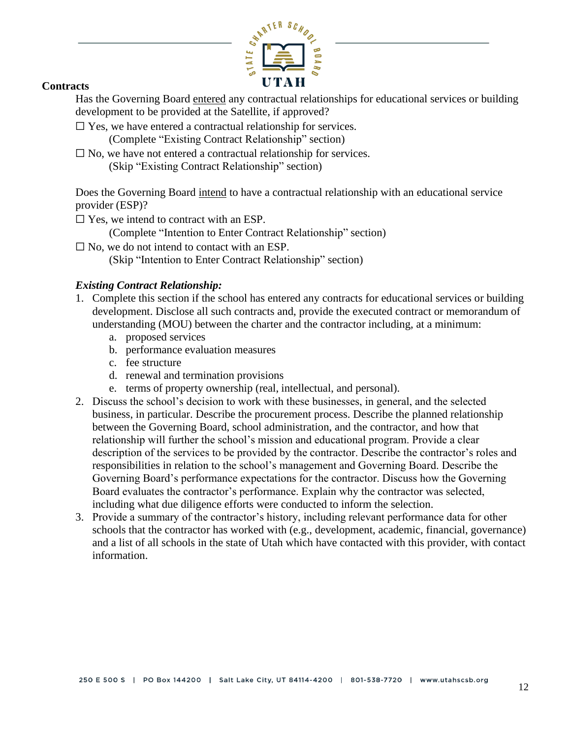

#### **Contracts**

Has the Governing Board entered any contractual relationships for educational services or building development to be provided at the Satellite, if approved?

 $\Box$  Yes, we have entered a contractual relationship for services.

(Complete "Existing Contract Relationship" section)

 $\square$  No, we have not entered a contractual relationship for services. (Skip "Existing Contract Relationship" section)

Does the Governing Board intend to have a contractual relationship with an educational service provider (ESP)?

 $\square$  Yes, we intend to contract with an ESP.

(Complete "Intention to Enter Contract Relationship" section)

□ No, we do not intend to contact with an ESP. (Skip "Intention to Enter Contract Relationship" section)

# *Existing Contract Relationship:*

- 1. Complete this section if the school has entered any contracts for educational services or building development. Disclose all such contracts and, provide the executed contract or memorandum of understanding (MOU) between the charter and the contractor including, at a minimum:
	- a. proposed services
	- b. performance evaluation measures
	- c. fee structure
	- d. renewal and termination provisions
	- e. terms of property ownership (real, intellectual, and personal).
- 2. Discuss the school's decision to work with these businesses, in general, and the selected business, in particular. Describe the procurement process. Describe the planned relationship between the Governing Board, school administration, and the contractor, and how that relationship will further the school's mission and educational program. Provide a clear description of the services to be provided by the contractor. Describe the contractor's roles and responsibilities in relation to the school's management and Governing Board. Describe the Governing Board's performance expectations for the contractor. Discuss how the Governing Board evaluates the contractor's performance. Explain why the contractor was selected, including what due diligence efforts were conducted to inform the selection.
- 3. Provide a summary of the contractor's history, including relevant performance data for other schools that the contractor has worked with (e.g., development, academic, financial, governance) and a list of all schools in the state of Utah which have contacted with this provider, with contact information.